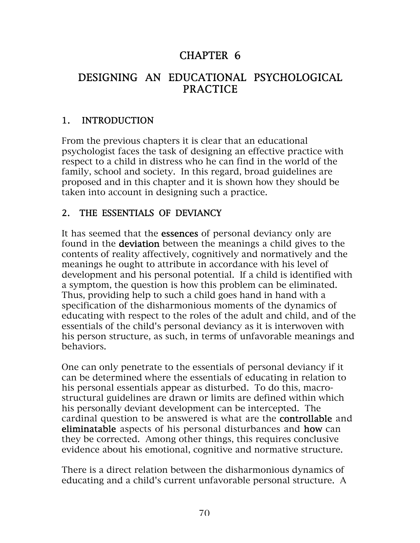# CHAPTER 6

# DESIGNING AN EDUCATIONAL PSYCHOLOGICAL PRACTICE

## 1. INTRODUCTION

From the previous chapters it is clear that an educational psychologist faces the task of designing an effective practice with respect to a child in distress who he can find in the world of the family, school and society. In this regard, broad guidelines are proposed and in this chapter and it is shown how they should be taken into account in designing such a practice.

## 2. THE ESSENTIALS OF DEVIANCY

It has seemed that the **essences** of personal deviancy only are found in the deviation between the meanings a child gives to the contents of reality affectively, cognitively and normatively and the meanings he ought to attribute in accordance with his level of development and his personal potential. If a child is identified with a symptom, the question is how this problem can be eliminated. Thus, providing help to such a child goes hand in hand with a specification of the disharmonious moments of the dynamics of educating with respect to the roles of the adult and child, and of the essentials of the child's personal deviancy as it is interwoven with his person structure, as such, in terms of unfavorable meanings and behaviors.

One can only penetrate to the essentials of personal deviancy if it can be determined where the essentials of educating in relation to his personal essentials appear as disturbed. To do this, macrostructural guidelines are drawn or limits are defined within which his personally deviant development can be intercepted. The cardinal question to be answered is what are the controllable and eliminatable aspects of his personal disturbances and how can they be corrected. Among other things, this requires conclusive evidence about his emotional, cognitive and normative structure.

There is a direct relation between the disharmonious dynamics of educating and a child's current unfavorable personal structure. A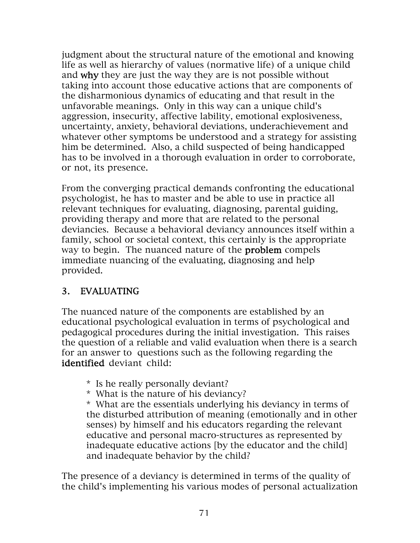judgment about the structural nature of the emotional and knowing life as well as hierarchy of values (normative life) of a unique child and why they are just the way they are is not possible without taking into account those educative actions that are components of the disharmonious dynamics of educating and that result in the unfavorable meanings. Only in this way can a unique child's aggression, insecurity, affective lability, emotional explosiveness, uncertainty, anxiety, behavioral deviations, underachievement and whatever other symptoms be understood and a strategy for assisting him be determined. Also, a child suspected of being handicapped has to be involved in a thorough evaluation in order to corroborate, or not, its presence.

From the converging practical demands confronting the educational psychologist, he has to master and be able to use in practice all relevant techniques for evaluating, diagnosing, parental guiding, providing therapy and more that are related to the personal deviancies. Because a behavioral deviancy announces itself within a family, school or societal context, this certainly is the appropriate way to begin. The nuanced nature of the **problem** compels immediate nuancing of the evaluating, diagnosing and help provided.

## 3. EVALUATING

The nuanced nature of the components are established by an educational psychological evaluation in terms of psychological and pedagogical procedures during the initial investigation. This raises the question of a reliable and valid evaluation when there is a search for an answer to questions such as the following regarding the identified deviant child:

- \* Is he really personally deviant?
- \* What is the nature of his deviancy?

\* What are the essentials underlying his deviancy in terms of the disturbed attribution of meaning (emotionally and in other senses) by himself and his educators regarding the relevant educative and personal macro-structures as represented by inadequate educative actions [by the educator and the child] and inadequate behavior by the child?

The presence of a deviancy is determined in terms of the quality of the child's implementing his various modes of personal actualization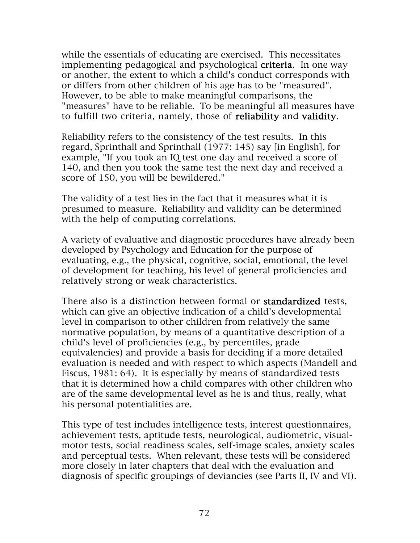while the essentials of educating are exercised. This necessitates implementing pedagogical and psychological **criteria**. In one way or another, the extent to which a child's conduct corresponds with or differs from other children of his age has to be "measured". However, to be able to make meaningful comparisons, the "measures" have to be reliable. To be meaningful all measures have to fulfill two criteria, namely, those of reliability and validity.

Reliability refers to the consistency of the test results. In this regard, Sprinthall and Sprinthall (1977: 145) say [in English], for example, "If you took an IQ test one day and received a score of 140, and then you took the same test the next day and received a score of 150, you will be bewildered."

The validity of a test lies in the fact that it measures what it is presumed to measure. Reliability and validity can be determined with the help of computing correlations.

A variety of evaluative and diagnostic procedures have already been developed by Psychology and Education for the purpose of evaluating, e.g., the physical, cognitive, social, emotional, the level of development for teaching, his level of general proficiencies and relatively strong or weak characteristics.

There also is a distinction between formal or **standardized** tests, which can give an objective indication of a child's developmental level in comparison to other children from relatively the same normative population, by means of a quantitative description of a child's level of proficiencies (e.g., by percentiles, grade equivalencies) and provide a basis for deciding if a more detailed evaluation is needed and with respect to which aspects (Mandell and Fiscus, 1981: 64). It is especially by means of standardized tests that it is determined how a child compares with other children who are of the same developmental level as he is and thus, really, what his personal potentialities are.

This type of test includes intelligence tests, interest questionnaires, achievement tests, aptitude tests, neurological, audiometric, visualmotor tests, social readiness scales, self-image scales, anxiety scales and perceptual tests. When relevant, these tests will be considered more closely in later chapters that deal with the evaluation and diagnosis of specific groupings of deviancies (see Parts II, IV and VI).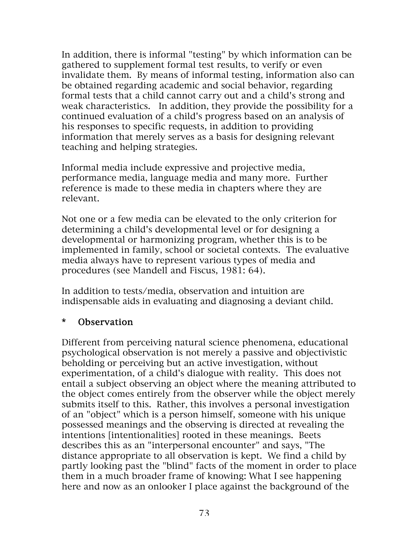In addition, there is informal "testing" by which information can be gathered to supplement formal test results, to verify or even invalidate them. By means of informal testing, information also can be obtained regarding academic and social behavior, regarding formal tests that a child cannot carry out and a child's strong and weak characteristics. In addition, they provide the possibility for a continued evaluation of a child's progress based on an analysis of his responses to specific requests, in addition to providing information that merely serves as a basis for designing relevant teaching and helping strategies.

Informal media include expressive and projective media, performance media, language media and many more. Further reference is made to these media in chapters where they are relevant.

Not one or a few media can be elevated to the only criterion for determining a child's developmental level or for designing a developmental or harmonizing program, whether this is to be implemented in family, school or societal contexts. The evaluative media always have to represent various types of media and procedures (see Mandell and Fiscus, 1981: 64).

In addition to tests/media, observation and intuition are indispensable aids in evaluating and diagnosing a deviant child.

#### \* Observation

Different from perceiving natural science phenomena, educational psychological observation is not merely a passive and objectivistic beholding or perceiving but an active investigation, without experimentation, of a child's dialogue with reality. This does not entail a subject observing an object where the meaning attributed to the object comes entirely from the observer while the object merely submits itself to this. Rather, this involves a personal investigation of an "object" which is a person himself, someone with his unique possessed meanings and the observing is directed at revealing the intentions [intentionalities] rooted in these meanings. Beets describes this as an "interpersonal encounter" and says, "The distance appropriate to all observation is kept. We find a child by partly looking past the "blind" facts of the moment in order to place them in a much broader frame of knowing: What I see happening here and now as an onlooker I place against the background of the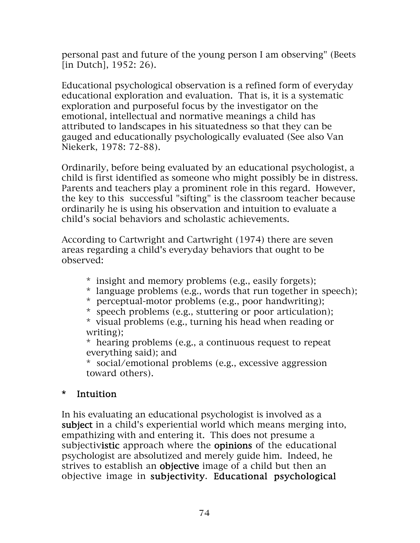personal past and future of the young person I am observing" (Beets [in Dutch], 1952: 26).

Educational psychological observation is a refined form of everyday educational exploration and evaluation. That is, it is a systematic exploration and purposeful focus by the investigator on the emotional, intellectual and normative meanings a child has attributed to landscapes in his situatedness so that they can be gauged and educationally psychologically evaluated (See also Van Niekerk, 1978: 72-88).

Ordinarily, before being evaluated by an educational psychologist, a child is first identified as someone who might possibly be in distress. Parents and teachers play a prominent role in this regard. However, the key to this successful "sifting" is the classroom teacher because ordinarily he is using his observation and intuition to evaluate a child's social behaviors and scholastic achievements.

According to Cartwright and Cartwright (1974) there are seven areas regarding a child's everyday behaviors that ought to be observed:

- \* insight and memory problems (e.g., easily forgets);
- \* language problems (e.g., words that run together in speech);
- \* perceptual-motor problems (e.g., poor handwriting);
- \* speech problems (e.g., stuttering or poor articulation);

\* visual problems (e.g., turning his head when reading or writing);

\* hearing problems (e.g., a continuous request to repeat everything said); and

\* social/emotional problems (e.g., excessive aggression toward others).

## \* Intuition

In his evaluating an educational psychologist is involved as a subject in a child's experiential world which means merging into, empathizing with and entering it. This does not presume a subjectivistic approach where the opinions of the educational psychologist are absolutized and merely guide him. Indeed, he strives to establish an objective image of a child but then an objective image in subjectivity. Educational psychological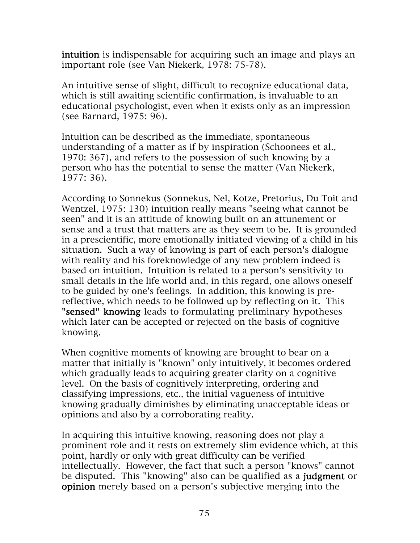intuition is indispensable for acquiring such an image and plays an important role (see Van Niekerk, 1978: 75-78).

An intuitive sense of slight, difficult to recognize educational data, which is still awaiting scientific confirmation, is invaluable to an educational psychologist, even when it exists only as an impression (see Barnard, 1975: 96).

Intuition can be described as the immediate, spontaneous understanding of a matter as if by inspiration (Schoonees et al., 1970: 367), and refers to the possession of such knowing by a person who has the potential to sense the matter (Van Niekerk, 1977: 36).

According to Sonnekus (Sonnekus, Nel, Kotze, Pretorius, Du Toit and Wentzel, 1975: 130) intuition really means "seeing what cannot be seen" and it is an attitude of knowing built on an attunement or sense and a trust that matters are as they seem to be. It is grounded in a prescientific, more emotionally initiated viewing of a child in his situation. Such a way of knowing is part of each person's dialogue with reality and his foreknowledge of any new problem indeed is based on intuition. Intuition is related to a person's sensitivity to small details in the life world and, in this regard, one allows oneself to be guided by one's feelings. In addition, this knowing is prereflective, which needs to be followed up by reflecting on it. This "sensed" knowing leads to formulating preliminary hypotheses which later can be accepted or rejected on the basis of cognitive knowing.

When cognitive moments of knowing are brought to bear on a matter that initially is "known" only intuitively, it becomes ordered which gradually leads to acquiring greater clarity on a cognitive level. On the basis of cognitively interpreting, ordering and classifying impressions, etc., the initial vagueness of intuitive knowing gradually diminishes by eliminating unacceptable ideas or opinions and also by a corroborating reality.

In acquiring this intuitive knowing, reasoning does not play a prominent role and it rests on extremely slim evidence which, at this point, hardly or only with great difficulty can be verified intellectually. However, the fact that such a person "knows" cannot be disputed. This "knowing" also can be qualified as a judgment or opinion merely based on a person's subjective merging into the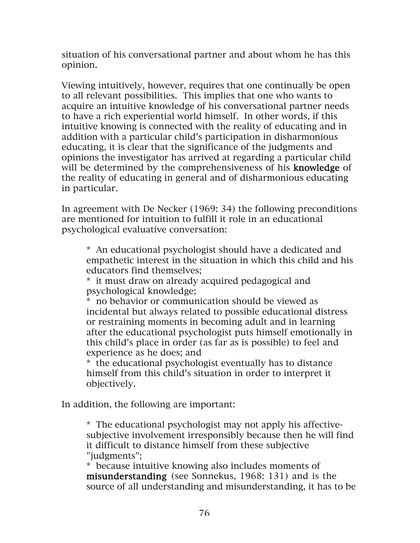situation of his conversational partner and about whom he has this opinion.

Viewing intuitively, however, requires that one continually be open to all relevant possibilities. This implies that one who wants to acquire an intuitive knowledge of his conversational partner needs to have a rich experiential world himself. In other words, if this intuitive knowing is connected with the reality of educating and in addition with a particular child's participation in disharmonious educating, it is clear that the significance of the judgments and opinions the investigator has arrived at regarding a particular child will be determined by the comprehensiveness of his knowledge of the reality of educating in general and of disharmonious educating in particular.

In agreement with De Necker (1969: 34) the following preconditions are mentioned for intuition to fulfill it role in an educational psychological evaluative conversation:

\* An educational psychologist should have a dedicated and empathetic interest in the situation in which this child and his educators find themselves;

\* it must draw on already acquired pedagogical and psychological knowledge;

\* no behavior or communication should be viewed as incidental but always related to possible educational distress or restraining moments in becoming adult and in learning after the educational psychologist puts himself emotionally in this child's place in order (as far as is possible) to feel and experience as he does; and

\* the educational psychologist eventually has to distance himself from this child's situation in order to interpret it objectively.

In addition, the following are important:

\* The educational psychologist may not apply his affectivesubjective involvement irresponsibly because then he will find it difficult to distance himself from these subjective "judgments";

\* because intuitive knowing also includes moments of misunderstanding (see Sonnekus, 1968: 131) and is the source of all understanding and misunderstanding, it has to be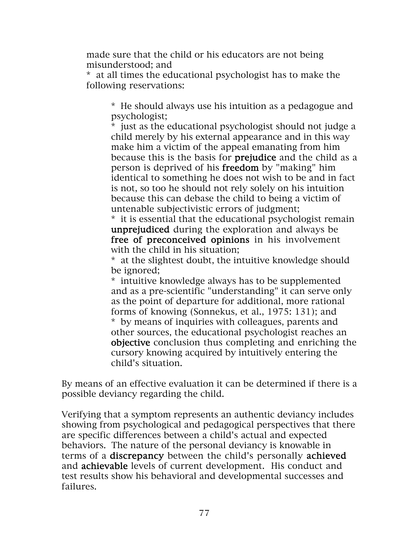made sure that the child or his educators are not being misunderstood; and

\* at all times the educational psychologist has to make the following reservations:

\* He should always use his intuition as a pedagogue and psychologist;

\* just as the educational psychologist should not judge a child merely by his external appearance and in this way make him a victim of the appeal emanating from him because this is the basis for prejudice and the child as a person is deprived of his freedom by "making" him identical to something he does not wish to be and in fact is not, so too he should not rely solely on his intuition because this can debase the child to being a victim of untenable subjectivistic errors of judgment;

\* it is essential that the educational psychologist remain unprejudiced during the exploration and always be free of preconceived opinions in his involvement with the child in his situation;

\* at the slightest doubt, the intuitive knowledge should be ignored;

\* intuitive knowledge always has to be supplemented and as a pre-scientific "understanding" it can serve only as the point of departure for additional, more rational forms of knowing (Sonnekus, et al., 1975: 131); and \* by means of inquiries with colleagues, parents and other sources, the educational psychologist reaches an objective conclusion thus completing and enriching the cursory knowing acquired by intuitively entering the child's situation.

By means of an effective evaluation it can be determined if there is a possible deviancy regarding the child.

Verifying that a symptom represents an authentic deviancy includes showing from psychological and pedagogical perspectives that there are specific differences between a child's actual and expected behaviors. The nature of the personal deviancy is knowable in terms of a discrepancy between the child's personally achieved and achievable levels of current development. His conduct and test results show his behavioral and developmental successes and failures.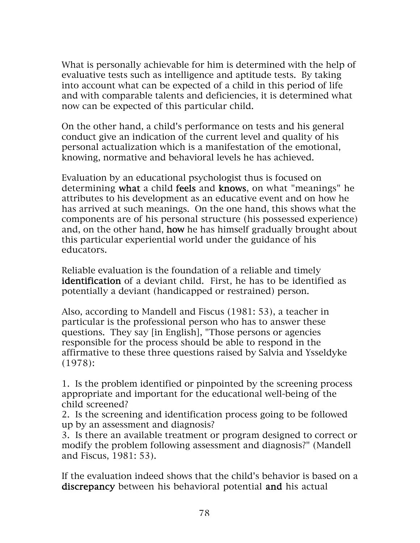What is personally achievable for him is determined with the help of evaluative tests such as intelligence and aptitude tests. By taking into account what can be expected of a child in this period of life and with comparable talents and deficiencies, it is determined what now can be expected of this particular child.

On the other hand, a child's performance on tests and his general conduct give an indication of the current level and quality of his personal actualization which is a manifestation of the emotional, knowing, normative and behavioral levels he has achieved.

Evaluation by an educational psychologist thus is focused on determining what a child feels and knows, on what "meanings" he attributes to his development as an educative event and on how he has arrived at such meanings. On the one hand, this shows what the components are of his personal structure (his possessed experience) and, on the other hand, how he has himself gradually brought about this particular experiential world under the guidance of his educators.

Reliable evaluation is the foundation of a reliable and timely identification of a deviant child. First, he has to be identified as potentially a deviant (handicapped or restrained) person.

Also, according to Mandell and Fiscus (1981: 53), a teacher in particular is the professional person who has to answer these questions. They say [in English], "Those persons or agencies responsible for the process should be able to respond in the affirmative to these three questions raised by Salvia and Ysseldyke (1978):

1. Is the problem identified or pinpointed by the screening process appropriate and important for the educational well-being of the child screened?

2. Is the screening and identification process going to be followed up by an assessment and diagnosis?

3. Is there an available treatment or program designed to correct or modify the problem following assessment and diagnosis?" (Mandell and Fiscus, 1981: 53).

If the evaluation indeed shows that the child's behavior is based on a discrepancy between his behavioral potential and his actual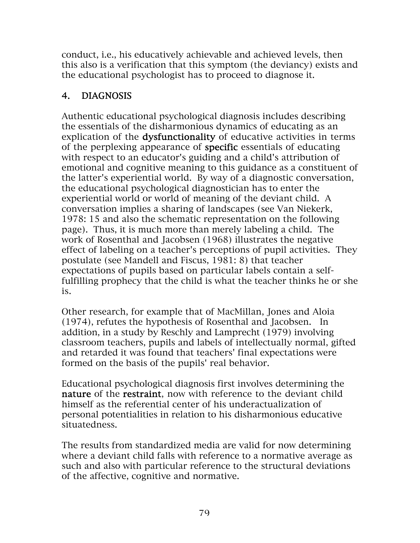conduct, i.e., his educatively achievable and achieved levels, then this also is a verification that this symptom (the deviancy) exists and the educational psychologist has to proceed to diagnose it.

# 4. DIAGNOSIS

Authentic educational psychological diagnosis includes describing the essentials of the disharmonious dynamics of educating as an explication of the dysfunctionality of educative activities in terms of the perplexing appearance of specific essentials of educating with respect to an educator's guiding and a child's attribution of emotional and cognitive meaning to this guidance as a constituent of the latter's experiential world. By way of a diagnostic conversation, the educational psychological diagnostician has to enter the experiential world or world of meaning of the deviant child. A conversation implies a sharing of landscapes (see Van Niekerk, 1978: 15 and also the schematic representation on the following page). Thus, it is much more than merely labeling a child. The work of Rosenthal and Jacobsen (1968) illustrates the negative effect of labeling on a teacher's perceptions of pupil activities. They postulate (see Mandell and Fiscus, 1981: 8) that teacher expectations of pupils based on particular labels contain a selffulfilling prophecy that the child is what the teacher thinks he or she is.

Other research, for example that of MacMillan, Jones and Aloia (1974), refutes the hypothesis of Rosenthal and Jacobsen. In addition, in a study by Reschly and Lamprecht (1979) involving classroom teachers, pupils and labels of intellectually normal, gifted and retarded it was found that teachers' final expectations were formed on the basis of the pupils' real behavior.

Educational psychological diagnosis first involves determining the nature of the restraint, now with reference to the deviant child himself as the referential center of his underactualization of personal potentialities in relation to his disharmonious educative situatedness.

The results from standardized media are valid for now determining where a deviant child falls with reference to a normative average as such and also with particular reference to the structural deviations of the affective, cognitive and normative.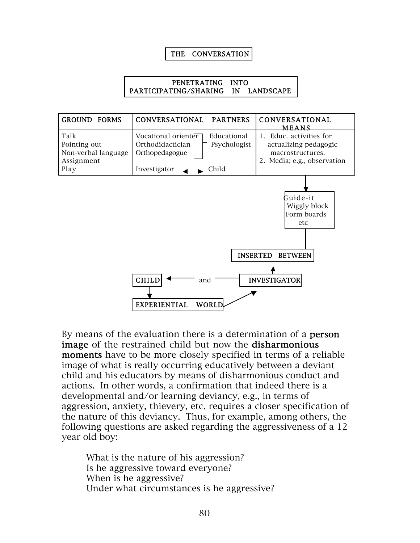#### THE CONVERSATION

#### PENETRATING INTO PARTICIPATING/SHARING IN LANDSCAPE



By means of the evaluation there is a determination of a **person** image of the restrained child but now the disharmonious moments have to be more closely specified in terms of a reliable image of what is really occurring educatively between a deviant child and his educators by means of disharmonious conduct and actions. In other words, a confirmation that indeed there is a developmental and/or learning deviancy, e.g., in terms of aggression, anxiety, thievery, etc. requires a closer specification of the nature of this deviancy. Thus, for example, among others, the following questions are asked regarding the aggressiveness of a 12 year old boy:

What is the nature of his aggression? Is he aggressive toward everyone? When is he aggressive? Under what circumstances is he aggressive?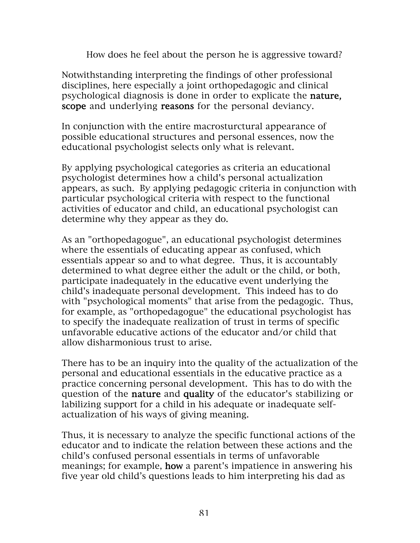How does he feel about the person he is aggressive toward?

Notwithstanding interpreting the findings of other professional disciplines, here especially a joint orthopedagogic and clinical psychological diagnosis is done in order to explicate the nature, scope and underlying reasons for the personal deviancy.

In conjunction with the entire macrosturctural appearance of possible educational structures and personal essences, now the educational psychologist selects only what is relevant.

By applying psychological categories as criteria an educational psychologist determines how a child's personal actualization appears, as such. By applying pedagogic criteria in conjunction with particular psychological criteria with respect to the functional activities of educator and child, an educational psychologist can determine why they appear as they do.

As an "orthopedagogue", an educational psychologist determines where the essentials of educating appear as confused, which essentials appear so and to what degree. Thus, it is accountably determined to what degree either the adult or the child, or both, participate inadequately in the educative event underlying the child's inadequate personal development. This indeed has to do with "psychological moments" that arise from the pedagogic. Thus, for example, as "orthopedagogue" the educational psychologist has to specify the inadequate realization of trust in terms of specific unfavorable educative actions of the educator and/or child that allow disharmonious trust to arise.

There has to be an inquiry into the quality of the actualization of the personal and educational essentials in the educative practice as a practice concerning personal development. This has to do with the question of the nature and quality of the educator's stabilizing or labilizing support for a child in his adequate or inadequate selfactualization of his ways of giving meaning.

Thus, it is necessary to analyze the specific functional actions of the educator and to indicate the relation between these actions and the child's confused personal essentials in terms of unfavorable meanings; for example, how a parent's impatience in answering his five year old child's questions leads to him interpreting his dad as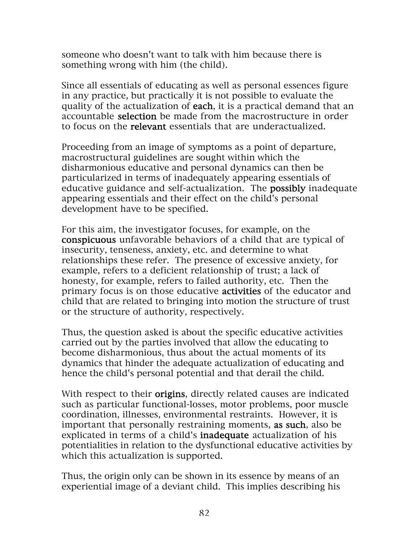someone who doesn't want to talk with him because there is something wrong with him (the child).

Since all essentials of educating as well as personal essences figure in any practice, but practically it is not possible to evaluate the quality of the actualization of each, it is a practical demand that an accountable selection be made from the macrostructure in order to focus on the relevant essentials that are underactualized.

Proceeding from an image of symptoms as a point of departure, macrostructural guidelines are sought within which the disharmonious educative and personal dynamics can then be particularized in terms of inadequately appearing essentials of educative guidance and self-actualization. The possibly inadequate appearing essentials and their effect on the child's personal development have to be specified.

For this aim, the investigator focuses, for example, on the conspicuous unfavorable behaviors of a child that are typical of insecurity, tenseness, anxiety, etc. and determine to what relationships these refer. The presence of excessive anxiety, for example, refers to a deficient relationship of trust; a lack of honesty, for example, refers to failed authority, etc. Then the primary focus is on those educative activities of the educator and child that are related to bringing into motion the structure of trust or the structure of authority, respectively.

Thus, the question asked is about the specific educative activities carried out by the parties involved that allow the educating to become disharmonious, thus about the actual moments of its dynamics that hinder the adequate actualization of educating and hence the child's personal potential and that derail the child.

With respect to their **origins**, directly related causes are indicated such as particular functional-losses, motor problems, poor muscle coordination, illnesses, environmental restraints. However, it is important that personally restraining moments, as such, also be explicated in terms of a child's inadequate actualization of his potentialities in relation to the dysfunctional educative activities by which this actualization is supported.

Thus, the origin only can be shown in its essence by means of an experiential image of a deviant child. This implies describing his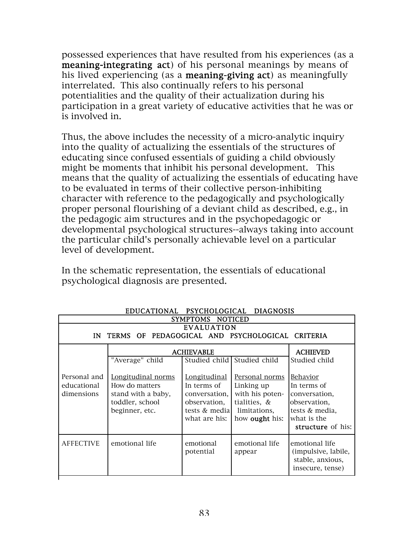possessed experiences that have resulted from his experiences (as a meaning-integrating act) of his personal meanings by means of his lived experiencing (as a **meaning-giving act**) as meaningfully interrelated. This also continually refers to his personal potentialities and the quality of their actualization during his participation in a great variety of educative activities that he was or is involved in.

Thus, the above includes the necessity of a micro-analytic inquiry into the quality of actualizing the essentials of the structures of educating since confused essentials of guiding a child obviously might be moments that inhibit his personal development. This means that the quality of actualizing the essentials of educating have to be evaluated in terms of their collective person-inhibiting character with reference to the pedagogically and psychologically proper personal flourishing of a deviant child as described, e.g., in the pedagogic aim structures and in the psychopedagogic or developmental psychological structures--always taking into account the particular child's personally achievable level on a particular level of development.

In the schematic representation, the essentials of educational psychological diagnosis are presented.

| EDUCATIONAL PSICHOLOGICAL DIAGNOSIS<br>SYMPTOMS NOTICED                    |                                                                                                 |                                                                                                |                                                                                                          |                                                                                                                |
|----------------------------------------------------------------------------|-------------------------------------------------------------------------------------------------|------------------------------------------------------------------------------------------------|----------------------------------------------------------------------------------------------------------|----------------------------------------------------------------------------------------------------------------|
| <b>EVALUATION</b><br>TERMS OF PEDAGOGICAL AND PSYCHOLOGICAL CRITERIA<br>IN |                                                                                                 |                                                                                                |                                                                                                          |                                                                                                                |
|                                                                            | <b>ACHIEVABLE</b>                                                                               |                                                                                                |                                                                                                          | <b>ACHIEVED</b>                                                                                                |
|                                                                            | "Average" child                                                                                 |                                                                                                | Studied child Studied child                                                                              | Studied child                                                                                                  |
| Personal and<br>educational<br>dimensions                                  | Longitudinal norms<br>How do matters<br>stand with a baby,<br>toddler, school<br>beginner, etc. | Longitudinal<br>In terms of<br>conversation,<br>observation,<br>tests & media<br>what are his: | Personal norms<br>Linking up<br>with his poten-<br>tialities, &<br>limitations,<br>how <b>ought</b> his: | Behavior<br>In terms of<br>conversation,<br>observation,<br>tests & media,<br>what is the<br>structure of his: |
| <b>AFFECTIVE</b>                                                           | emotional life                                                                                  | emotional<br>potential                                                                         | emotional life<br>appear                                                                                 | emotional life<br>(impulsive, labile,<br>stable, anxious,<br>insecure, tense)                                  |

EDUCATIONAL PSYCHOLOGICAL DIAGNOSIS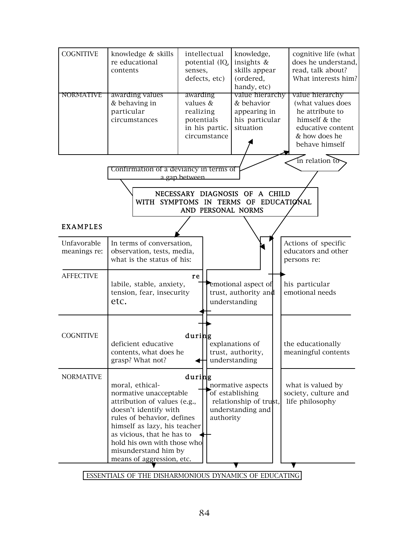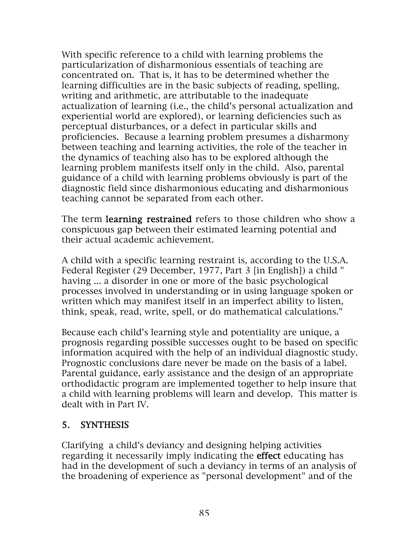With specific reference to a child with learning problems the particularization of disharmonious essentials of teaching are concentrated on. That is, it has to be determined whether the learning difficulties are in the basic subjects of reading, spelling, writing and arithmetic, are attributable to the inadequate actualization of learning (i.e., the child's personal actualization and experiential world are explored), or learning deficiencies such as perceptual disturbances, or a defect in particular skills and proficiencies. Because a learning problem presumes a disharmony between teaching and learning activities, the role of the teacher in the dynamics of teaching also has to be explored although the learning problem manifests itself only in the child. Also, parental guidance of a child with learning problems obviously is part of the diagnostic field since disharmonious educating and disharmonious teaching cannot be separated from each other.

The term **learning restrained** refers to those children who show a conspicuous gap between their estimated learning potential and their actual academic achievement.

A child with a specific learning restraint is, according to the U.S.A. Federal Register (29 December, 1977, Part 3 [in English]) a child " having ... a disorder in one or more of the basic psychological processes involved in understanding or in using language spoken or written which may manifest itself in an imperfect ability to listen, think, speak, read, write, spell, or do mathematical calculations."

Because each child's learning style and potentiality are unique, a prognosis regarding possible successes ought to be based on specific information acquired with the help of an individual diagnostic study. Prognostic conclusions dare never be made on the basis of a label. Parental guidance, early assistance and the design of an appropriate orthodidactic program are implemented together to help insure that a child with learning problems will learn and develop. This matter is dealt with in Part IV.

## 5. SYNTHESIS

Clarifying a child's deviancy and designing helping activities regarding it necessarily imply indicating the effect educating has had in the development of such a deviancy in terms of an analysis of the broadening of experience as "personal development" and of the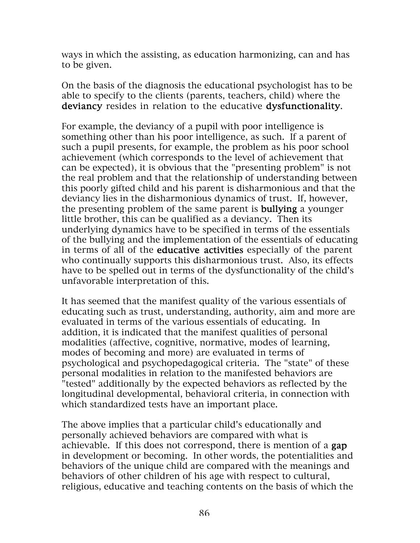ways in which the assisting, as education harmonizing, can and has to be given.

On the basis of the diagnosis the educational psychologist has to be able to specify to the clients (parents, teachers, child) where the deviancy resides in relation to the educative dysfunctionality.

For example, the deviancy of a pupil with poor intelligence is something other than his poor intelligence, as such. If a parent of such a pupil presents, for example, the problem as his poor school achievement (which corresponds to the level of achievement that can be expected), it is obvious that the "presenting problem" is not the real problem and that the relationship of understanding between this poorly gifted child and his parent is disharmonious and that the deviancy lies in the disharmonious dynamics of trust. If, however, the presenting problem of the same parent is bullying a younger little brother, this can be qualified as a deviancy. Then its underlying dynamics have to be specified in terms of the essentials of the bullying and the implementation of the essentials of educating in terms of all of the educative activities especially of the parent who continually supports this disharmonious trust. Also, its effects have to be spelled out in terms of the dysfunctionality of the child's unfavorable interpretation of this.

It has seemed that the manifest quality of the various essentials of educating such as trust, understanding, authority, aim and more are evaluated in terms of the various essentials of educating. In addition, it is indicated that the manifest qualities of personal modalities (affective, cognitive, normative, modes of learning, modes of becoming and more) are evaluated in terms of psychological and psychopedagogical criteria. The "state" of these personal modalities in relation to the manifested behaviors are "tested" additionally by the expected behaviors as reflected by the longitudinal developmental, behavioral criteria, in connection with which standardized tests have an important place.

The above implies that a particular child's educationally and personally achieved behaviors are compared with what is achievable. If this does not correspond, there is mention of a gap in development or becoming. In other words, the potentialities and behaviors of the unique child are compared with the meanings and behaviors of other children of his age with respect to cultural, religious, educative and teaching contents on the basis of which the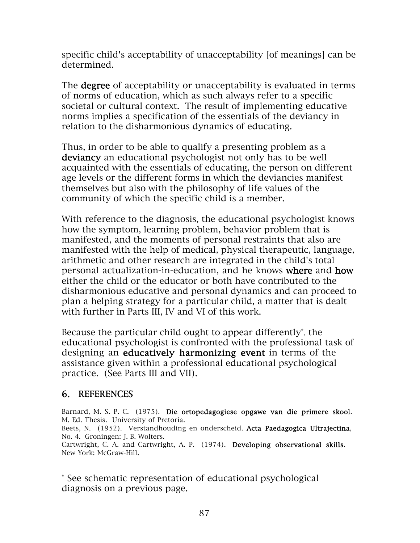specific child's acceptability of unacceptability [of meanings] can be determined.

The **degree** of acceptability or unacceptability is evaluated in terms of norms of education, which as such always refer to a specific societal or cultural context. The result of implementing educative norms implies a specification of the essentials of the deviancy in relation to the disharmonious dynamics of educating.

Thus, in order to be able to qualify a presenting problem as a deviancy an educational psychologist not only has to be well acquainted with the essentials of educating, the person on different age levels or the different forms in which the deviancies manifest themselves but also with the philosophy of life values of the community of which the specific child is a member.

With reference to the diagnosis, the educational psychologist knows how the symptom, learning problem, behavior problem that is manifested, and the moments of personal restraints that also are manifested with the help of medical, physical therapeutic, language, arithmetic and other research are integrated in the child's total personal actualization-in-education, and he knows where and how either the child or the educator or both have contributed to the disharmonious educative and personal dynamics and can proceed to plan a helping strategy for a particular child, a matter that is dealt with further in Parts III, IV and VI of this work.

Because the particular child ought to appear differently\*, the educational psychologist is confronted with the professional task of designing an educatively harmonizing event in terms of the assistance given within a professional educational psychological practice. (See Parts III and VII).

#### 6. REFERENCES

 $\overline{a}$ 

Barnard, M. S. P. C. (1975). Die ortopedagogiese opgawe van die primere skool. M. Ed. Thesis. University of Pretoria.

Beets, N. (1952). Verstandhouding en onderscheid. Acta Paedagogica Ultrajectina, No. 4. Groningen: J. B. Wolters.

Cartwright, C. A. and Cartwright, A. P. (1974). Developing observational skills. New York: McGraw-Hill.

<sup>\*</sup> See schematic representation of educational psychological diagnosis on a previous page.